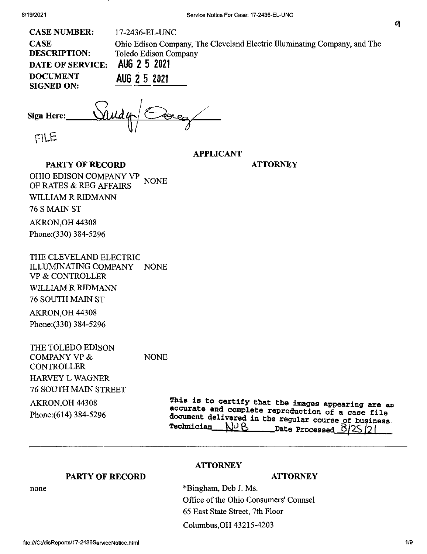| <b>CASE NUMBER:</b>                  | 17-2436-EL-UNC                                                            |
|--------------------------------------|---------------------------------------------------------------------------|
| <b>CASE</b>                          | Ohio Edison Company, The Cleveland Electric Illuminating Company, and The |
| <b>DESCRIPTION:</b>                  | Toledo Edison Company                                                     |
| <b>DATE OF SERVICE:</b>              | AUG 2 5 2021                                                              |
| <b>DOCUMENT</b><br><b>SIGNED ON:</b> | AUG 2 5 2021                                                              |
|                                      |                                                                           |

Sandy Corez **Sign Here:**

FILE

**APPLICANT**

**ATTORNEY**

**PARTY OF RECORD** OHIO EDISON COMPANY VP OF RATES & REG AFFAIRS WILLIAM R RIDMANN 76 S MAIN ST AKRON,OH 44308 Phone:(330) 384-5296 NONE

THE CLEVELAND ELECTRIC ILLUMINATING COMPANY NONE VP & CONTROLLER WILLIAM R RIDMANN 76 SOUTH MAIN ST

AKRON,OH 44308 Phone:(330) 384-5296

THE TOLEDO EDISON COMPANY VP & **CONTROLLER** HARVEY L WAGNER 76 SOUTH MAIN STREET AKRON,OH 44308 Phone:(614) 384-5296 NONE

This is to certify that the images appearing are an *document <Jellyered in the regular course of business. Technician---- Dst« Processed 8/^f9 <sup>l</sup>*

## **PARTY OF RECORD**

## **ATTORNEY**

\*Bingham, Deb J. Ms. Office of the Ohio Consumers' Counsel 65 East State Street, 7th Floor Columbus,OH 43215-4203

**ATTORNEY**

none

9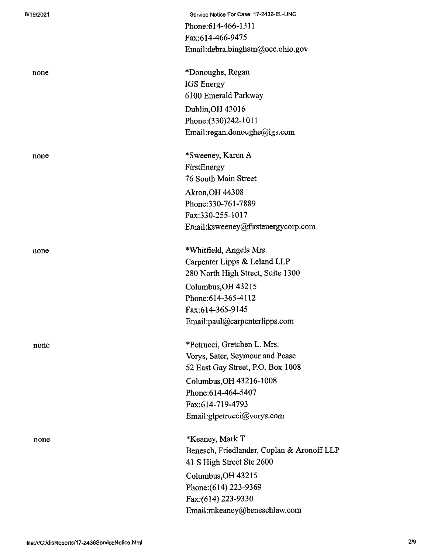| 8/19/2021 | Service Notice For Case: 17-2436-EL-UNC    |
|-----------|--------------------------------------------|
|           | Phone: 614-466-1311                        |
|           | Fax:614-466-9475                           |
|           | Email:debra.bingham@occ.ohio.gov           |
| none      | *Donoughe, Regan                           |
|           | IGS Energy                                 |
|           | 6100 Emerald Parkway                       |
|           | Dublin, OH 43016                           |
|           | Phone: (330) 242-1011                      |
|           | Email:regan.donoughe@igs.com               |
| none      | *Sweeney, Karen A                          |
|           | FirstEnergy                                |
|           | 76 South Main Street                       |
|           | Akron, OH 44308                            |
|           | Phone: 330-761-7889                        |
|           | Fax:330-255-1017                           |
|           | Email: ksweeney@firstenergycorp.com        |
| none      | *Whitfield, Angela Mrs.                    |
|           | Carpenter Lipps & Leland LLP               |
|           | 280 North High Street, Suite 1300          |
|           | Columbus, OH 43215                         |
|           | Phone: 614-365-4112                        |
|           | Fax:614-365-9145                           |
|           | Email:paul@carpenterlipps.com              |
| none      | *Petrucci, Gretchen L. Mrs.                |
|           | Vorys, Sater, Seymour and Pease            |
|           | 52 East Gay Street, P.O. Box 1008          |
|           | Columbus, OH 43216-1008                    |
|           | Phone: 614-464-5407                        |
|           | Fax:614-719-4793                           |
|           | Email:glpetrucci@vorys.com                 |
| none      | *Keaney, Mark T                            |
|           | Benesch, Friedlander, Coplan & Aronoff LLP |
|           | 41 S High Street Ste 2600                  |
|           | Columbus, OH 43215                         |
|           | Phone: (614) 223-9369                      |
|           | Fax:(614) 223-9330                         |
|           | Email:mkeaney@beneschlaw.com               |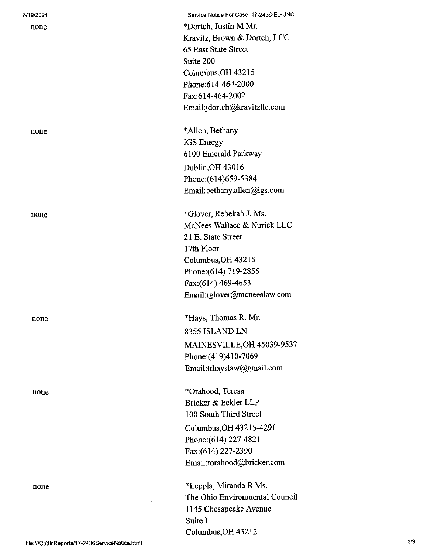| 8/19/2021 | Service Notice For Case: 17-2436-EL-UNC |
|-----------|-----------------------------------------|
| none      | *Dortch, Justin M Mr.                   |
|           | Kravitz, Brown & Dortch, LCC            |
|           | 65 East State Street                    |
|           | Suite 200                               |
|           | Columbus, OH 43215                      |
|           | Phone:614-464-2000                      |
|           | Fax:614-464-2002                        |
|           | Email:jdortch@kravitzllc.com            |
| none      | *Allen, Bethany                         |
|           | IGS Energy                              |
|           | 6100 Emerald Parkway                    |
|           | Dublin, OH 43016                        |
|           | Phone: (614) 659-5384                   |
|           | Email:bethany.allen@igs.com             |
| none      | *Glover, Rebekah J. Ms.                 |
|           | McNees Wallace & Nurick LLC             |
|           | 21 E. State Street                      |
|           | 17th Floor                              |
|           | Columbus, OH 43215                      |
|           | Phone: (614) 719-2855                   |
|           | Fax: (614) 469-4653                     |
|           | Email:rglover@mcneeslaw.com             |
| none      | *Hays, Thomas R. Mr.                    |
|           | 8355 ISLAND LN                          |
|           | MAINESVILLE, OH 45039-9537              |
|           | Phone: (419)410-7069                    |
|           | Email:trhayslaw@gmail.com               |
| none      | *Orahood, Teresa                        |
|           | Bricker & Eckler LLP                    |
|           | 100 South Third Street                  |
|           | Columbus, OH 43215-4291                 |
|           | Phone: (614) 227-4821                   |
|           | Fax:(614) 227-2390                      |
|           | Email:torahood@bricker.com              |
|           |                                         |

none \*Leppla, Miranda R Ms. The Ohio Environmental Council 1145 Chesapeake Avenue Suite I Columbus,OH 43212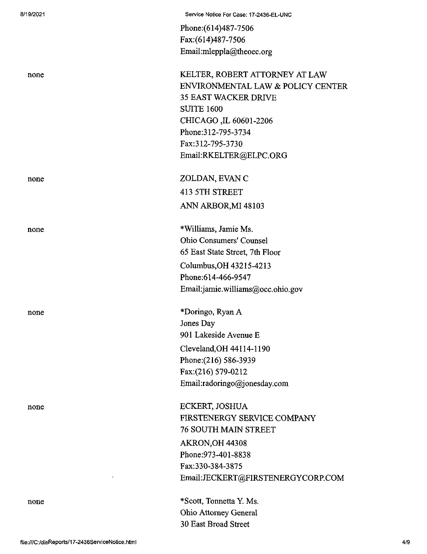| 8/19/2021 | Service Notice For Case: 17-2436-EL-UNC |
|-----------|-----------------------------------------|
|           | Phone: (614) 487-7506                   |
|           | Fax:(614)487-7506                       |
|           | Email:mleppla@theoec.org                |
| none      | KELTER, ROBERT ATTORNEY AT LAW          |
|           | ENVIRONMENTAL LAW & POLICY CENTER       |
|           | <b>35 EAST WACKER DRIVE</b>             |
|           | <b>SUITE 1600</b>                       |
|           | CHICAGO, IL 60601-2206                  |
|           | Phone: 312-795-3734                     |
|           | Fax:312-795-3730                        |
|           | Email:RKELTER@ELPC.ORG                  |
| none      | ZOLDAN, EVAN C                          |
|           | <b>413 5TH STREET</b>                   |
|           | ANN ARBOR, MI 48103                     |
| none      | *Williams, Jamie Ms.                    |
|           | Ohio Consumers' Counsel                 |
|           | 65 East State Street, 7th Floor         |
|           | Columbus, OH 43215-4213                 |
|           | Phone: 614-466-9547                     |
|           | Email:jamie.williams@occ.ohio.gov       |
| none      | *Doringo, Ryan A                        |
|           | Jones Day                               |
|           | 901 Lakeside Avenue E                   |
|           | Cleveland, OH 44114-1190                |
|           | Phone: (216) 586-3939                   |
|           | Fax:(216) 579-0212                      |
|           | Email:radoringo@jonesday.com            |
| none      | ECKERT, JOSHUA                          |
|           | FIRSTENERGY SERVICE COMPANY             |
|           | <b>76 SOUTH MAIN STREET</b>             |
|           | AKRON, OH 44308                         |
|           | Phone: 973-401-8838                     |
|           | Fax:330-384-3875                        |
|           | Email:JECKERT@FIRSTENERGYCORP.COM       |
| none      | *Scott, Tonnetta Y. Ms.                 |
|           | Ohio Attorney General                   |
|           | 30 East Broad Street                    |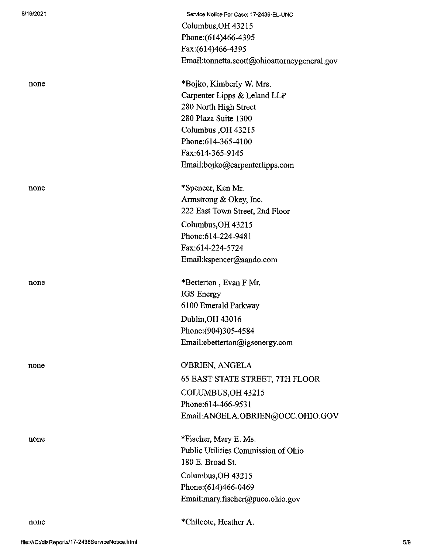| 8/19/2021 | Service Notice For Case: 17-2436-EL-UNC      |
|-----------|----------------------------------------------|
|           | Columbus, OH 43215                           |
|           | Phone: (614)466-4395                         |
|           | Fax: (614) 466-4395                          |
|           | Email:tonnetta.scott@ohioattorneygeneral.gov |
| none      | *Bojko, Kimberly W. Mrs.                     |
|           | Carpenter Lipps & Leland LLP                 |
|           | 280 North High Street                        |
|           | 280 Plaza Suite 1300                         |
|           | Columbus, OH 43215                           |
|           | Phone:614-365-4100                           |
|           | Fax:614-365-9145                             |
|           | Email:bojko@carpenterlipps.com               |
| none      | *Spencer, Ken Mr.                            |
|           | Armstrong & Okey, Inc.                       |
|           | 222 East Town Street, 2nd Floor              |
|           | Columbus, OH 43215                           |
|           | Phone: 614-224-9481                          |
|           | Fax:614-224-5724                             |
|           | Email:kspencer@aando.com                     |
| none      | *Betterton, Evan F Mr.                       |
|           | <b>IGS</b> Energy                            |
|           | 6100 Emerald Parkway                         |
|           | Dublin, OH 43016                             |
|           | Phone: (904)305-4584                         |
|           | Email:ebetterton@igsenergy.com               |
| none      | O'BRIEN, ANGELA                              |
|           | 65 EAST STATE STREET, 7TH FLOOR              |
|           | COLUMBUS, OH 43215                           |
|           | Phone:614-466-9531                           |
|           | Email:ANGELA.OBRIEN@OCC.OHIO.GOV             |
| none      | *Fischer, Mary E. Ms.                        |
|           | Public Utilities Commission of Ohio          |
|           | 180 E. Broad St.                             |
|           | Columbus, OH 43215                           |
|           | Phone: (614)466-0469                         |
|           | Email:mary.fischer@puco.ohio.gov             |
| none      | *Chilcote, Heather A.                        |
|           |                                              |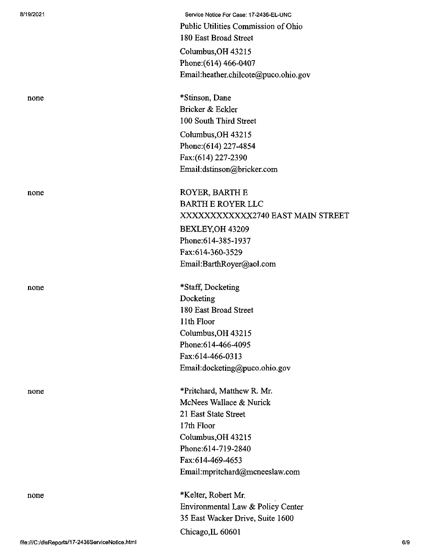|                                                 | Public Utilities Commission of Ohio  |     |
|-------------------------------------------------|--------------------------------------|-----|
|                                                 | 180 East Broad Street                |     |
|                                                 | Columbus, OH 43215                   |     |
|                                                 | Phone: (614) 466-0407                |     |
|                                                 | Email:heather.chilcote@puco.ohio.gov |     |
| none                                            | *Stinson, Dane                       |     |
|                                                 | Bricker & Eckler                     |     |
|                                                 | 100 South Third Street               |     |
|                                                 | Columbus, OH 43215                   |     |
|                                                 | Phone: (614) 227-4854                |     |
|                                                 | Fax: (614) 227-2390                  |     |
|                                                 | Email:dstinson@bricker.com           |     |
| none                                            | ROYER, BARTH E                       |     |
|                                                 | <b>BARTH E ROYER LLC</b>             |     |
|                                                 | XXXXXXXXXXXX2740 EAST MAIN STREET    |     |
|                                                 | BEXLEY, OH 43209                     |     |
|                                                 | Phone: 614-385-1937                  |     |
|                                                 | Fax:614-360-3529                     |     |
|                                                 | Email:BarthRoyer@aol.com             |     |
| none                                            | *Staff, Docketing                    |     |
|                                                 | Docketing                            |     |
|                                                 | 180 East Broad Street                |     |
|                                                 | 11th Floor                           |     |
|                                                 | Columbus, OH 43215                   |     |
|                                                 | Phone: 614-466-4095                  |     |
|                                                 | Fax:614-466-0313                     |     |
|                                                 | Email:docketing@puco.ohio.gov        |     |
| none                                            | *Pritchard, Matthew R. Mr.           |     |
|                                                 | McNees Wallace & Nurick              |     |
|                                                 | 21 East State Street                 |     |
|                                                 | 17th Floor                           |     |
|                                                 | Columbus, OH 43215                   |     |
|                                                 | Phone:614-719-2840                   |     |
|                                                 | Fax:614-469-4653                     |     |
|                                                 | Email:mpritchard@mcneeslaw.com       |     |
| none                                            | *Kelter, Robert Mr.                  |     |
|                                                 | Environmental Law & Policy Center    |     |
|                                                 | 35 East Wacker Drive, Suite 1600     |     |
|                                                 | Chicago, IL 60601                    |     |
| file:///C:/disReports/17-2436ServiceNotice.html |                                      | 6/9 |

Service Notice For Case: 17-2436-EL-UNC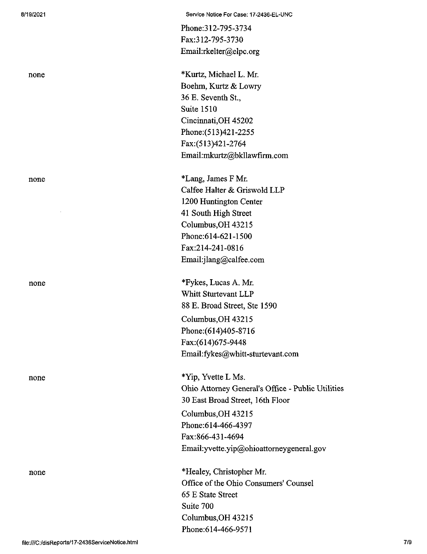Phone:312-795-3734 Fax:312-795-3730 Email:rkelter@elpc.org

none \*Kurtz, Michael L. Mr. Boehm, Kurtz & Lowry 36 E. Seventh St., Suite 1510 Cincinnati,OH 45202 Phone:(513)421-2255 Fax:(513)421-2764 Email:mkurtz@bkllawfirm.com

none \*Lang, James F Mr. Calfee Halter & Griswold LLP 1200 Huntington Center 41 South High Street Columbus,OH 43215 Phone:614-621-1500 Fax:214-241-0816 Email:jlang@calfee.com

none \*Fykes, Lucas A. Mr. Whitt Sturtevant LLP 88 E. Broad Street, Ste 1590 Columbus,OH 43215 Phone:(614)405-8716 Fax:(614)675-9448 Email:fykes@whitt-sturtevant.com

none \*Yip, Yvette L Ms. Ohio Attorney General's Office - Public Utilities 30 East Broad Street, 16th Floor Columbus,OH 43215

> Phone:614-466-4397 Fax:866-431-4694 Email:yvette.yip@ohioattomeygeneral.gov

none \*Healey, Christopher Mr. Office of the Ohio Consumers' Counsel 65 E State Street Suite 700 Columbus,OH 43215 Phone:614-466-9571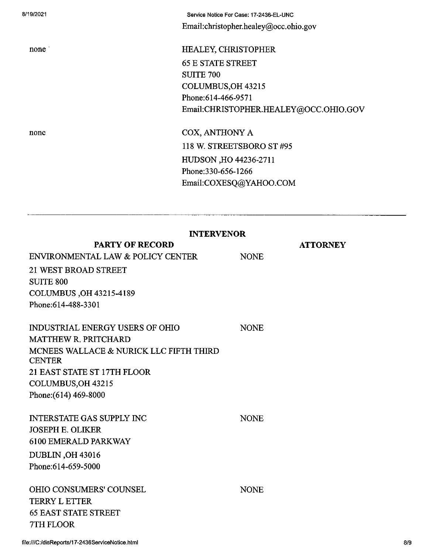8/19/2021 Service Notice For Case: 17-2436-EL-UNC Email:christopher.healey@occ.ohio.gov

none HEALEY, CHRISTOPHER 65 E STATE STREET SUITE 700 COLUMBUS,OH 43215 Phone:614-466-9571 Email:CHRISTOPHER.HEALEY@OCC.OHIO.GOV

none COX, ANTHONY A 118 W. STREETSBORO ST #95 HUDSON ,HO 44236-2711 Phone:330-656-1266 Email:COXESQ@YAHOO.COM

## **INTERVENOR**

| <b>PARTY OF RECORD</b>                                   |             | <b>ATTORNEY</b> |
|----------------------------------------------------------|-------------|-----------------|
| ENVIRONMENTAL LAW & POLICY CENTER                        | <b>NONE</b> |                 |
| 21 WEST BROAD STREET                                     |             |                 |
| <b>SUITE 800</b>                                         |             |                 |
| COLUMBUS, OH 43215-4189                                  |             |                 |
| Phone:614-488-3301                                       |             |                 |
|                                                          |             |                 |
| <b>INDUSTRIAL ENERGY USERS OF OHIO</b>                   | <b>NONE</b> |                 |
| <b>MATTHEW R. PRITCHARD</b>                              |             |                 |
| MCNEES WALLACE & NURICK LLC FIFTH THIRD<br><b>CENTER</b> |             |                 |
| 21 EAST STATE ST 17TH FLOOR                              |             |                 |
| COLUMBUS, OH 43215                                       |             |                 |
| Phone: (614) 469-8000                                    |             |                 |
|                                                          |             |                 |
| <b>INTERSTATE GAS SUPPLY INC</b>                         | <b>NONE</b> |                 |
| <b>JOSEPH E. OLIKER</b>                                  |             |                 |
| <b>6100 EMERALD PARKWAY</b>                              |             |                 |
| <b>DUBLIN, OH 43016</b>                                  |             |                 |
| Phone: 614-659-5000                                      |             |                 |
|                                                          |             |                 |
| <b>OHIO CONSUMERS' COUNSEL</b>                           | <b>NONE</b> |                 |
| <b>TERRY L ETTER</b>                                     |             |                 |
| <b>65 EAST STATE STREET</b>                              |             |                 |
| 7TH FLOOR                                                |             |                 |